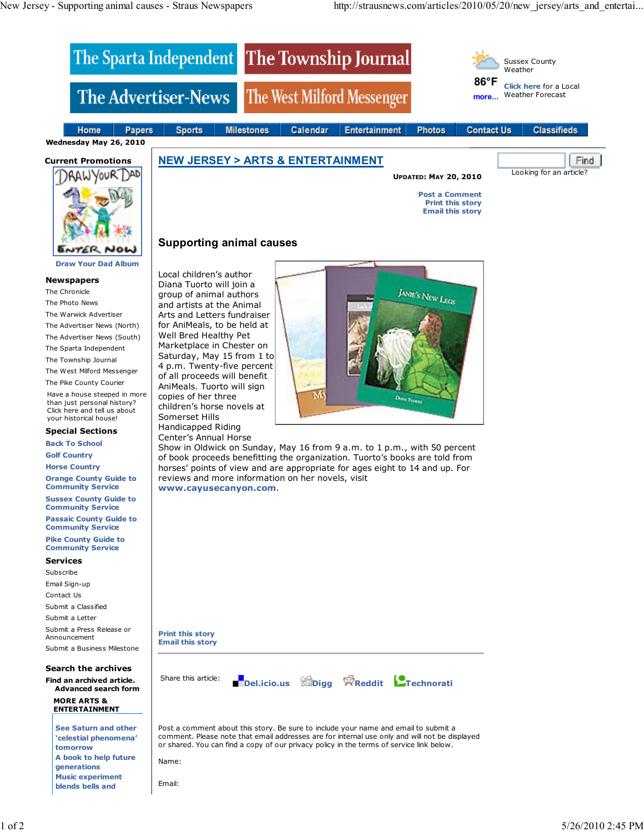